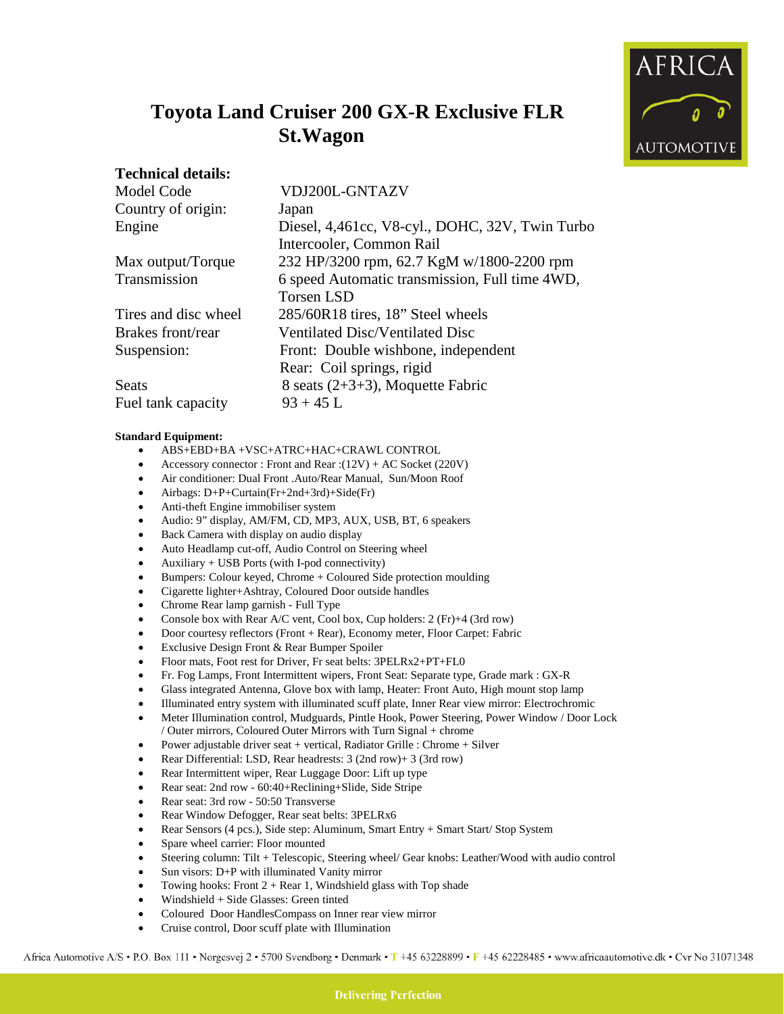

## **Toyota Land Cruiser 200 GX-R Exclusive FLR St.Wagon**

## **Technical details:**

| $\sim$ consisted to the constant |                |
|----------------------------------|----------------|
| Model Code                       | VDJ200L-GNTAZV |

| Country of origin:   | Japan                                           |
|----------------------|-------------------------------------------------|
| Engine               | Diesel, 4,461cc, V8-cyl., DOHC, 32V, Twin Turbo |
|                      | Intercooler, Common Rail                        |
| Max output/Torque    | 232 HP/3200 rpm, 62.7 KgM w/1800-2200 rpm       |
| Transmission         | 6 speed Automatic transmission, Full time 4WD,  |
|                      | <b>Torsen LSD</b>                               |
| Tires and disc wheel | 285/60R18 tires, 18" Steel wheels               |
| Brakes front/rear    | Ventilated Disc/Ventilated Disc                 |
| Suspension:          | Front: Double wishbone, independent             |
|                      | Rear: Coil springs, rigid                       |
| Seats                | 8 seats $(2+3+3)$ , Moquette Fabric             |
| Fuel tank capacity   | $93 + 45$ L                                     |

## **Standard Equipment:**

- ABS+EBD+BA +VSC+ATRC+HAC+CRAWL CONTROL
- Accessory connector : Front and Rear :(12V) + AC Socket (220V)
- Air conditioner: Dual Front .Auto/Rear Manual, Sun/Moon Roof
- Airbags: D+P+Curtain(Fr+2nd+3rd)+Side(Fr)
- Anti-theft Engine immobiliser system
- Audio: 9" display, AM/FM, CD, MP3, AUX, USB, BT, 6 speakers
- Back Camera with display on audio display
- Auto Headlamp cut-off, Audio Control on Steering wheel
- Auxiliary + USB Ports (with I-pod connectivity)
- Bumpers: Colour keyed, Chrome + Coloured Side protection moulding
- Cigarette lighter+Ashtray, Coloured Door outside handles
- Chrome Rear lamp garnish Full Type
- Console box with Rear A/C vent, Cool box, Cup holders: 2 (Fr)+4 (3rd row)
- Door courtesy reflectors (Front + Rear), Economy meter, Floor Carpet: Fabric
- Exclusive Design Front & Rear Bumper Spoiler
- Floor mats, Foot rest for Driver, Fr seat belts: 3PELRx2+PT+FL0
- Fr. Fog Lamps, Front Intermittent wipers, Front Seat: Separate type, Grade mark : GX-R
- Glass integrated Antenna, Glove box with lamp, Heater: Front Auto, High mount stop lamp
- Illuminated entry system with illuminated scuff plate, Inner Rear view mirror: Electrochromic
- Meter Illumination control, Mudguards, Pintle Hook, Power Steering, Power Window / Door Lock / Outer mirrors, Coloured Outer Mirrors with Turn Signal + chrome
- Power adjustable driver seat + vertical, Radiator Grille : Chrome + Silver
- Rear Differential: LSD, Rear headrests: 3 (2nd row)+ 3 (3rd row)
- Rear Intermittent wiper, Rear Luggage Door: Lift up type
- Rear seat: 2nd row 60:40+Reclining+Slide, Side Stripe
- Rear seat: 3rd row 50:50 Transverse
- Rear Window Defogger, Rear seat belts: 3PELRx6
- Rear Sensors (4 pcs.), Side step: Aluminum, Smart Entry + Smart Start/ Stop System
- Spare wheel carrier: Floor mounted
- Steering column: Tilt + Telescopic, Steering wheel/ Gear knobs: Leather/Wood with audio control
- Sun visors: D+P with illuminated Vanity mirror
- Towing hooks: Front  $2 +$  Rear 1, Windshield glass with Top shade
- Windshield + Side Glasses: Green tinted
- Coloured Door HandlesCompass on Inner rear view mirror
- Cruise control, Door scuff plate with Illumination